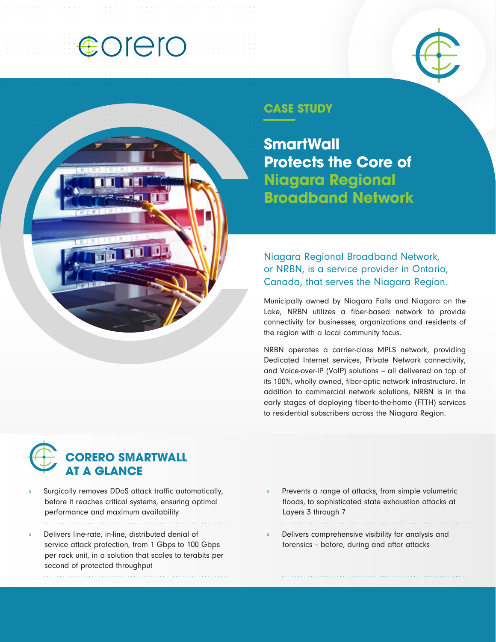## **COLEIO**





### **CASE STUDY**

**SmartWall Protects the Core of Niagara Regional Broadband Network**

Niagara Regional Broadband Network, or NRBN, is a service provider in Ontario, Canada, that serves the Niagara Region.

Municipally owned by Niagara Falls and Niagara on the Lake, NRBN utilizes a fiber-based network to provide connectivity for businesses, organizations and residents of the region with a local community focus.

NRBN operates a carrier-class MPLS network, providing Dedicated Internet services, Private Network connectivity, and Voice-over-IP (VoIP) solutions - all delivered on top of its 100%, wholly owned, fiber-optic network infrastructure. In addition to commercial network solutions, NRBN is in the early stages of deploying fiber-to-the-home (FTTH) services to residential subscribers across the Niagara Region.



- » Surgically removes DDoS attack traffic automatically, before it reaches critical systems, ensuring optimal performance and maximum availability
- » Delivers line-rate, in-line, distributed denial of service attack protection, from 1 Gbps to 100 Gbps per rack unit, in a solution that scales to terabits per second of protected throughput
- » Prevents a range of attacks, from simple volumetric floods, to sophisticated state exhaustion attacks at Layers 3 through 7
- » Delivers comprehensive visibility for analysis and forensics - before, during and after attacks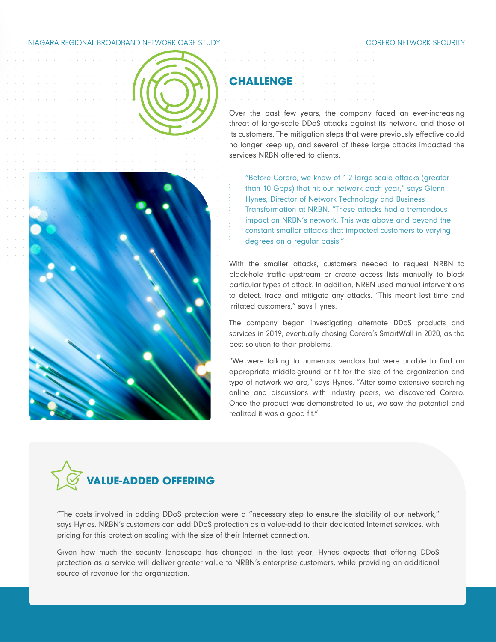#### NIAGARA REGIONAL BROADBAND NETWORK CASE STUDY CORERO NETWORK SECURITY



# **CHALLENGE**

Over the past few years, the company faced an ever-increasing threat of large-scale DDoS attacks against its network, and those of its customers. The mitigation steps that were previously effective could no longer keep up, and several of these large attacks impacted the services NRBN offered to clients.

"Before Corero, we knew of 1-2 large-scale attacks (greater than 10 Gbps) that hit our network each year," says Glenn Hynes, Director of Network Technology and Business Transformation at NRBN. "These attacks had a tremendous impact on NRBN's network. This was above and beyond the constant smaller attacks that impacted customers to varying degrees on a regular basis."

With the smaller attacks, customers needed to request NRBN to black-hole traffic upstream or create access lists manually to block particular types of attack. In addition, NRBN used manual interventions to detect, trace and mitigate any attacks. "This meant lost time and irritated customers," says Hynes.

The company began investigating alternate DDoS products and services in 2019, eventually chosing Corero's SmartWall in 2020, as the best solution to their problems.

"We were talking to numerous vendors but were unable to find an appropriate middle-ground or fit for the size of the organization and type of network we are," says Hynes. "After some extensive searching online and discussions with industry peers, we discovered Corero. Once the product was demonstrated to us, we saw the potential and realized it was a good fit."



"The costs involved in adding DDoS protection were a "necessary step to ensure the stability of our network," says Hynes. NRBN's customers can add DDoS protection as a value-add to their dedicated Internet services, with pricing for this protection scaling with the size of their Internet connection.

Given how much the security landscape has changed in the last year, Hynes expects that offering DDoS protection as a service will deliver greater value to NRBN's enterprise customers, while providing an additional source of revenue for the organization.